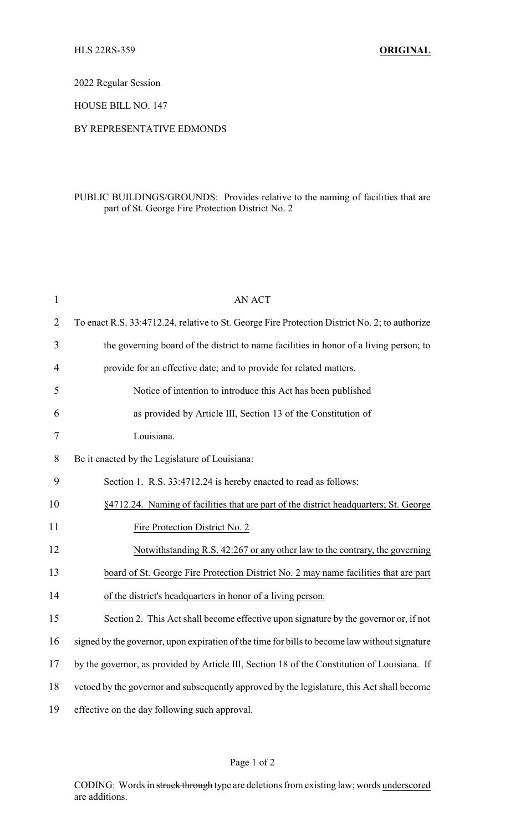2022 Regular Session

HOUSE BILL NO. 147

## BY REPRESENTATIVE EDMONDS

## PUBLIC BUILDINGS/GROUNDS: Provides relative to the naming of facilities that are part of St. George Fire Protection District No. 2

| $\mathbf{1}$   | <b>AN ACT</b>                                                                                 |
|----------------|-----------------------------------------------------------------------------------------------|
| $\overline{2}$ | To enact R.S. 33:4712.24, relative to St. George Fire Protection District No. 2; to authorize |
| 3              | the governing board of the district to name facilities in honor of a living person; to        |
| 4              | provide for an effective date; and to provide for related matters.                            |
| 5              | Notice of intention to introduce this Act has been published                                  |
| 6              | as provided by Article III, Section 13 of the Constitution of                                 |
| 7              | Louisiana.                                                                                    |
| 8              | Be it enacted by the Legislature of Louisiana:                                                |
| 9              | Section 1. R.S. 33:4712.24 is hereby enacted to read as follows:                              |
| 10             | §4712.24. Naming of facilities that are part of the district headquarters; St. George         |
| 11             | Fire Protection District No. 2                                                                |
| 12             | Notwithstanding R.S. 42:267 or any other law to the contrary, the governing                   |
| 13             | board of St. George Fire Protection District No. 2 may name facilities that are part          |
| 14             | of the district's headquarters in honor of a living person.                                   |
| 15             | Section 2. This Act shall become effective upon signature by the governor or, if not          |
| 16             | signed by the governor, upon expiration of the time for bills to become law without signature |
| 17             | by the governor, as provided by Article III, Section 18 of the Constitution of Louisiana. If  |
| 18             | vetoed by the governor and subsequently approved by the legislature, this Act shall become    |
| 19             | effective on the day following such approval.                                                 |

## Page 1 of 2

CODING: Words in struck through type are deletions from existing law; words underscored are additions.